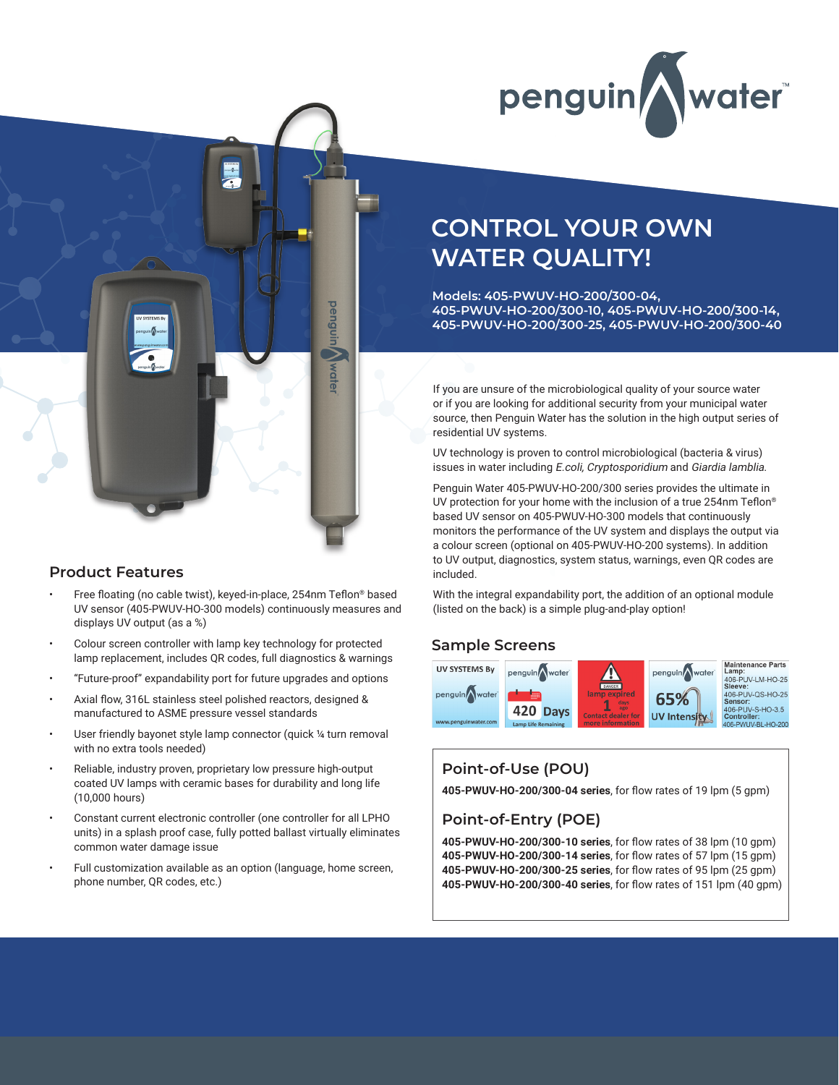



#### **Product Features**

- Free floating (no cable twist), keyed-in-place, 254nm Teflon® based UV sensor (405-PWUV-HO-300 models) continuously measures and displays UV output (as a %)
- Colour screen controller with lamp key technology for protected lamp replacement, includes QR codes, full diagnostics & warnings
- "Future-proof" expandability port for future upgrades and options
- Axial flow, 316L stainless steel polished reactors, designed & manufactured to ASME pressure vessel standards
- User friendly bayonet style lamp connector (quick 1/4 turn removal with no extra tools needed)
- Reliable, industry proven, proprietary low pressure high-output coated UV lamps with ceramic bases for durability and long life (10,000 hours)
- Constant current electronic controller (one controller for all LPHO units) in a splash proof case, fully potted ballast virtually eliminates common water damage issue
- Full customization available as an option (language, home screen, phone number, QR codes, etc.)

# **CONTROL YOUR OWN WATER QUALITY!**

**Models: 405-PWUV-HO-200/300-04, 405-PWUV-HO-200/300-10, 405-PWUV-HO-200/300-14, 405-PWUV-HO-200/300-25, 405-PWUV-HO-200/300-40**

If you are unsure of the microbiological quality of your source water or if you are looking for additional security from your municipal water source, then Penguin Water has the solution in the high output series of residential UV systems.

UV technology is proven to control microbiological (bacteria & virus) issues in water including E.coli, Cryptosporidium and Giardia lamblia.

Penguin Water 405-PWUV-HO-200/300 series provides the ultimate in UV protection for your home with the inclusion of a true 254nm Teflon® based UV sensor on 405-PWUV-HO-300 models that continuously monitors the performance of the UV system and displays the output via a colour screen (optional on 405-PWUV-HO-200 systems). In addition to UV output, diagnostics, system status, warnings, even QR codes are included.

With the integral expandability port, the addition of an optional module (listed on the back) is a simple plug-and-play option!

#### **Sample Screens**



### **Point-of-Use (POU)**

**405-PWUV-HO-200/300-04 series**, for flow rates of 19 lpm (5 gpm)

### **Point-of-Entry (POE)**

**405-PWUV-HO-200/300-10 series**, for flow rates of 38 lpm (10 gpm) **405-PWUV-HO-200/300-14 series**, for flow rates of 57 lpm (15 gpm) **405-PWUV-HO-200/300-25 series**, for flow rates of 95 lpm (25 gpm) **405-PWUV-HO-200/300-40 series**, for flow rates of 151 lpm (40 gpm)